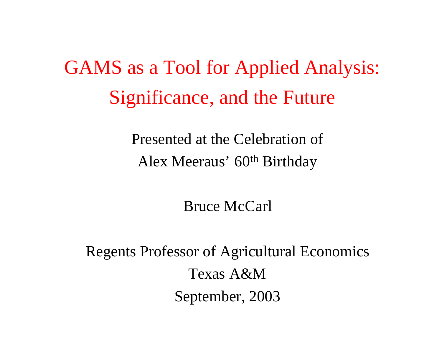GAMS as a Tool for Applied Analysis: Significance, and the Future

> Presented at the Celebration of Alex Meeraus' 60<sup>th</sup> Birthday

> > Bruce McCarl

Regents Professor of Agricultural Economics Texas A&M September, 2003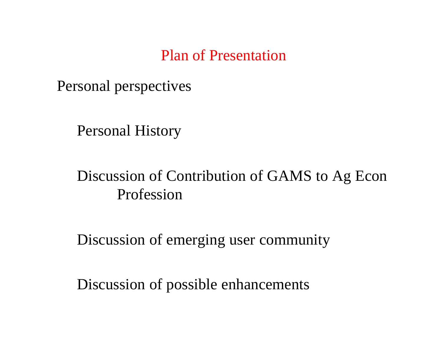#### Plan of Presentation

Personal perspectives

Personal History

## Discussion of Contribution of GAMS to Ag Econ Profession

Discussion of emerging user community

Discussion of possible enhancements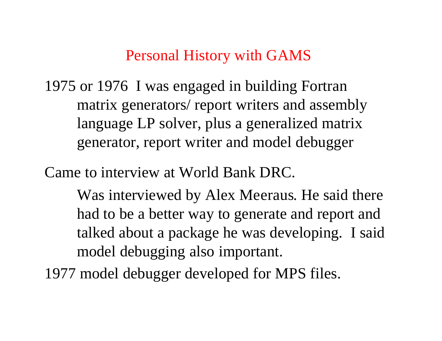#### Personal History with GAMS

1975 or 1976 I was engaged in building Fortran matrix generators/ report writers and assembly language LP solver, plus a generalized matrix generator, report writer and model debugger

Came to interview at World Bank DRC.

Was interviewed by Alex Meeraus. He said there had to be a better way to generate and report and talked about a package he was developing. I said model debugging also important.

1977 model debugger developed for MPS files.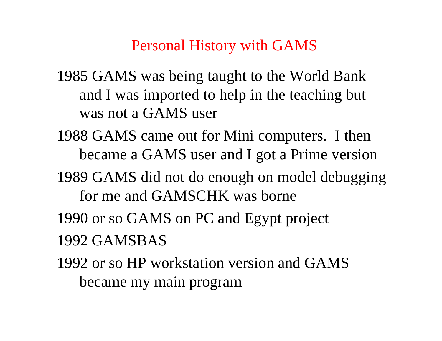Personal History with GAMS

1985 GAMS was being taught to the World Bank and I was imported to help in the teaching but was not a GAMS user

- 1988 GAMS came out for Mini computers. I then became a GAMS user and I got a Prime version
- 1989 GAMS did not do enough on model debugging for me and GAMSCHK was borne
- 1990 or so GAMS on PC and Egypt project 1992 GAMSBAS
- 1992 or so HP workstation version and GAMS became my main program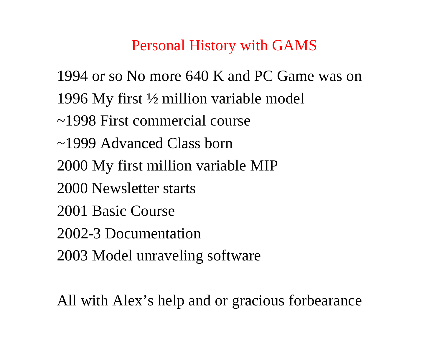#### Personal History with GAMS

1994 or so No more 640 K and PC Game was on

- 1996 My first ½ million variable model
- ~1998 First commercial course
- ~1999 Advanced Class born
- 2000 My first million variable MIP
- 2000 Newsletter starts
- 2001 Basic Course
- 2002-3 Documentation
- 2003 Model unraveling software

All with Alex's help and or gracious forbearance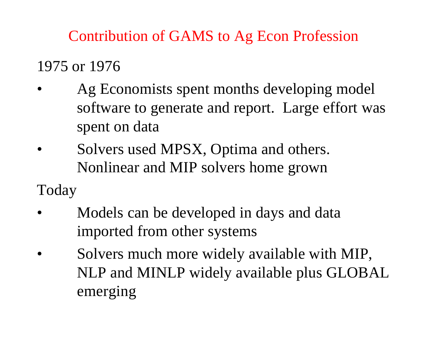Contribution of GAMS to Ag Econ Profession

1975 or 1976

- Ag Economists spent months developing model software to generate and report. Large effort was spent on data
- Solvers used MPSX, Optima and others. Nonlinear and MIP solvers home grown

Today

- Models can be developed in days and data imported from other systems
- Solvers much more widely available with MIP, NLP and MINLP widely available plus GLOBAL emerging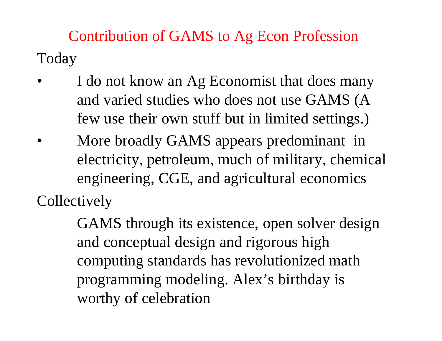Contribution of GAMS to Ag Econ Profession Today

- I do not know an Ag Economist that does many and varied studies who does not use GAMS (A few use their own stuff but in limited settings.)
- More broadly GAMS appears predominant in electricity, petroleum, much of military, chemical engineering, CGE, and agricultural economics **Collectively**

GAMS through its existence, open solver design and conceptual design and rigorous high computing standards has revolutionized math programming modeling. Alex's birthday is worthy of celebration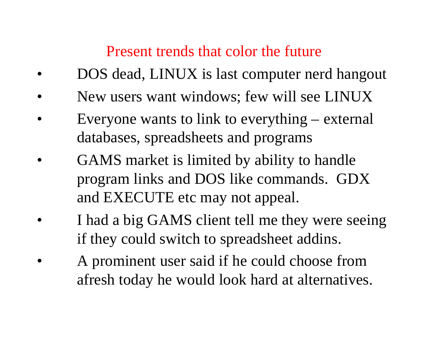### Present trends that color the future

- DOS dead, LINUX is last computer nerd hangout
- New users want windows; few will see LINUX
- Everyone wants to link to everything external databases, spreadsheets and programs
- GAMS market is limited by ability to handle program links and DOS like commands. GDX and EXECUTE etc may not appeal.
	- I had a big GAMS client tell me they were seeing if they could switch to spreadsheet addins.
	- A prominent user said if he could choose from afresh today he would look hard at alternatives.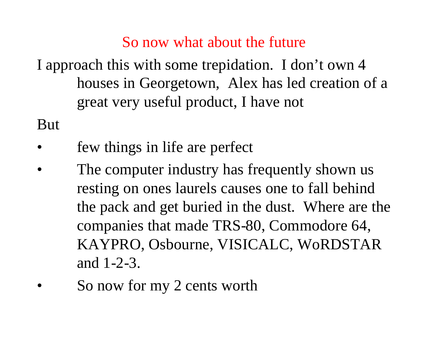#### So now what about the future

I approach this with some trepidation. I don't own 4 houses in Georgetown, Alex has led creation of a great very useful product, I have not

But

- few things in life are perfect
- The computer industry has frequently shown us resting on ones laurels causes one to fall behind the pack and get buried in the dust. Where are the companies that made TRS-80, Commodore 64, KAYPRO, Osbourne, VISICALC, WoRDSTAR and 1-2-3.
- So now for my 2 cents worth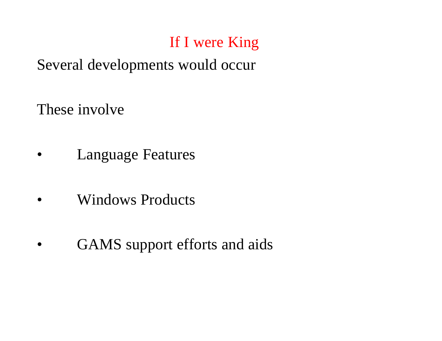### Several developments would occur

These involve

- **Language Features**
- Windows Products
- GAMS support efforts and aids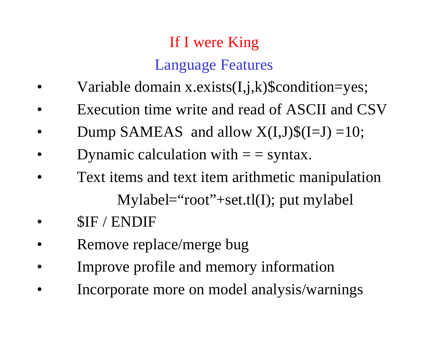# If I were King Language Features

- Variable domain x.exists(I,j,k)\$condition=yes;
- Execution time write and read of ASCII and CSV
- Dump SAMEAS and allow  $X(I,J)\$(I=J) = 10;$
- Dynamic calculation with  $=$  = syntax.
- Text items and text item arithmetic manipulation Mylabel="root"+set.tl(I); put mylabel
- \$IF / ENDIF
- Remove replace/merge bug
- Improve profile and memory information
- Incorporate more on model analysis/warnings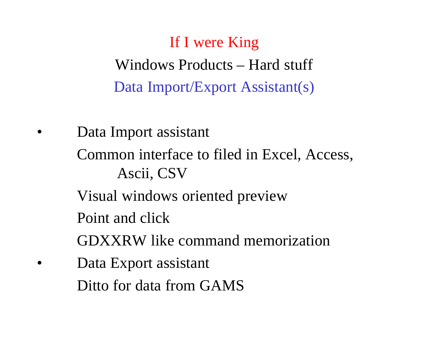Windows Products – Hard stuff Data Import/Export Assistant(s)

Data Import assistant Common interface to filed in Excel, Access, Ascii, CSV Visual windows oriented preview Point and click GDXXRW like command memorization Data Export assistant Ditto for data from GAMS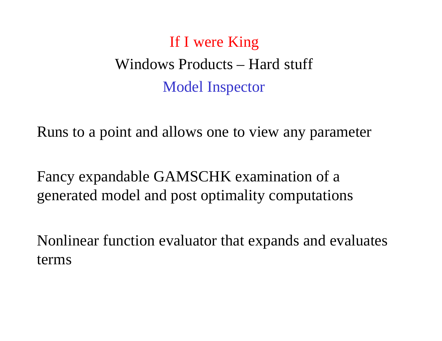# Windows Products – Hard stuff Model Inspector

Runs to a point and allows one to view any parameter

Fancy expandable GAMSCHK examination of a generated model and post optimality computations

Nonlinear function evaluator that expands and evaluates terms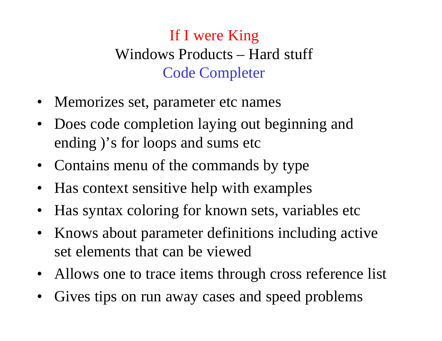## If I were King Windows Products – Hard stuff Code Completer

- Memorizes set, parameter etc names
- Does code completion laying out beginning and ending )'s for loops and sums etc
- Contains menu of the commands by type
- Has context sensitive help with examples
- Has syntax coloring for known sets, variables etc
- Knows about parameter definitions including active set elements that can be viewed
- Allows one to trace items through cross reference list
- Gives tips on run away cases and speed problems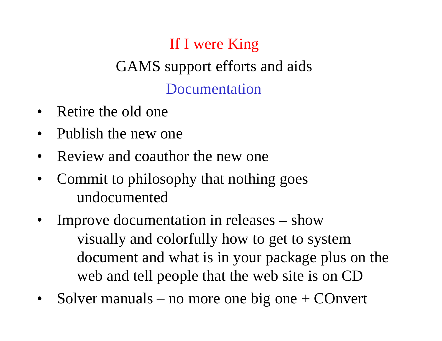# GAMS support efforts and aids Documentation

- Retire the old one
- Publish the new one
- Review and coauthor the new one
- Commit to philosophy that nothing goes undocumented
- Improve documentation in releases show visually and colorfully how to get to system document and what is in your package plus on the web and tell people that the web site is on CD
- Solver manuals no more one big one  $+$  COnvert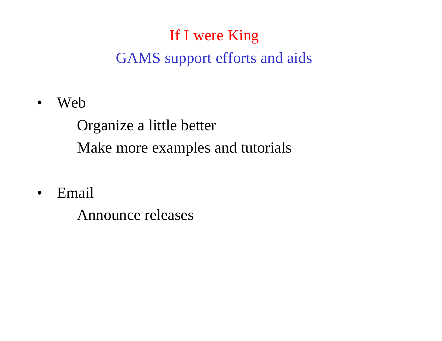# If I were King GAMS support efforts and aids

• Web

Organize a little better Make more examples and tutorials

• Email

Announce releases